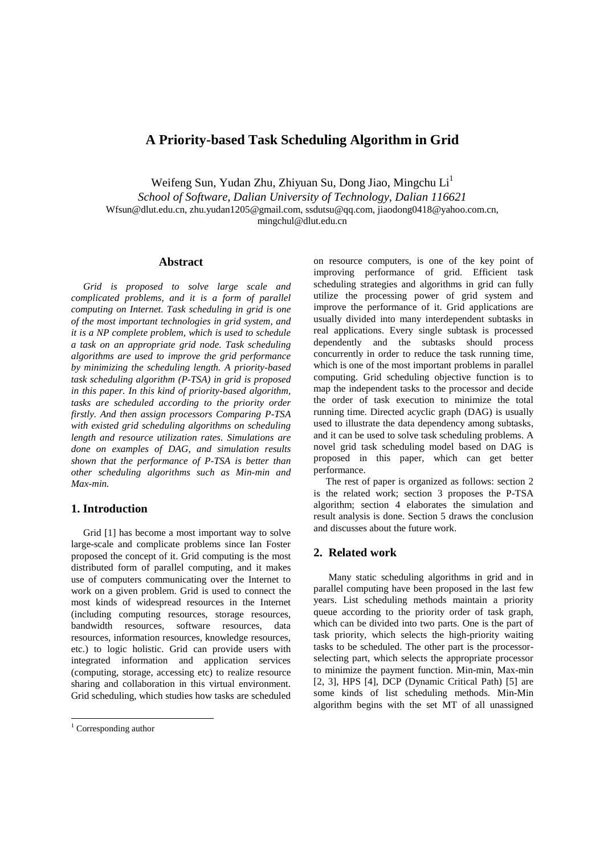# **A Priority-based Task Scheduling Algorithm in Grid**

Weifeng Sun, Yudan Zhu, Zhiyuan Su, Dong Jiao, Mingchu Li<sup>1</sup>

*School of Software, Dalian University of Technology, Dalian 116621* Wfsun@dlut.edu.cn, zhu.yudan1205@gmail.com, ssdutsu@qq.com, jiaodong0418@yahoo.com.cn, mingchul@dlut.edu.cn

## **Abstract**

*Grid is proposed to solve large scale and complicated problems, and it is a form of parallel computing on Internet. Task scheduling in grid is one of the most important technologies in grid system, and it is a NP complete problem, which is used to schedule a task on an appropriate grid node. Task scheduling algorithms are used to improve the grid performance by minimizing the scheduling length. A priority-based task scheduling algorithm (P-TSA) in grid is proposed in this paper. In this kind of priority-based algorithm, tasks are scheduled according to the priority order firstly. And then assign processors Comparing P-TSA with existed grid scheduling algorithms on scheduling length and resource utilization rates. Simulations are done on examples of DAG, and simulation results shown that the performance of P-TSA is better than other scheduling algorithms such as Min-min and Max-min.*

# **1. Introduction**

Grid [1] has become a most important way to solve large-scale and complicate problems since Ian Foster proposed the concept of it. Grid computing is the most distributed form of parallel computing, and it makes use of computers communicating over the Internet to work on a given problem. Grid is used to connect the most kinds of widespread resources in the Internet (including computing resources, storage resources, bandwidth resources, software resources, data resources, information resources, knowledge resources, etc.) to logic holistic. Grid can provide users with integrated information and application services (computing, storage, accessing etc) to realize resource sharing and collaboration in this virtual environment. Grid scheduling, which studies how tasks are scheduled

on resource computers, is one of the key point of improving performance of grid. Efficient task scheduling strategies and algorithms in grid can fully utilize the processing power of grid system and improve the performance of it. Grid applications are usually divided into many interdependent subtasks in real applications. Every single subtask is processed dependently and the subtasks should process concurrently in order to reduce the task running time, which is one of the most important problems in parallel computing. Grid scheduling objective function is to map the independent tasks to the processor and decide the order of task execution to minimize the total running time. Directed acyclic graph (DAG) is usually used to illustrate the data dependency among subtasks, and it can be used to solve task scheduling problems. A novel grid task scheduling model based on DAG is proposed in this paper, which can get better performance.

The rest of paper is organized as follows: section 2 is the related work; section 3 proposes the P-TSA algorithm; section 4 elaborates the simulation and result analysis is done. Section 5 draws the conclusion and discusses about the future work.

# **2. Related work**

Many static scheduling algorithms in grid and in parallel computing have been proposed in the last few years. List scheduling methods maintain a priority queue according to the priority order of task graph, which can be divided into two parts. One is the part of task priority, which selects the high-priority waiting tasks to be scheduled. The other part is the processorselecting part, which selects the appropriate processor to minimize the payment function. Min-min, Max-min [2, 3], HPS [4], DCP (Dynamic Critical Path) [5] are some kinds of list scheduling methods. Min-Min algorithm begins with the set MT of all unassigned

 $1$  Corresponding author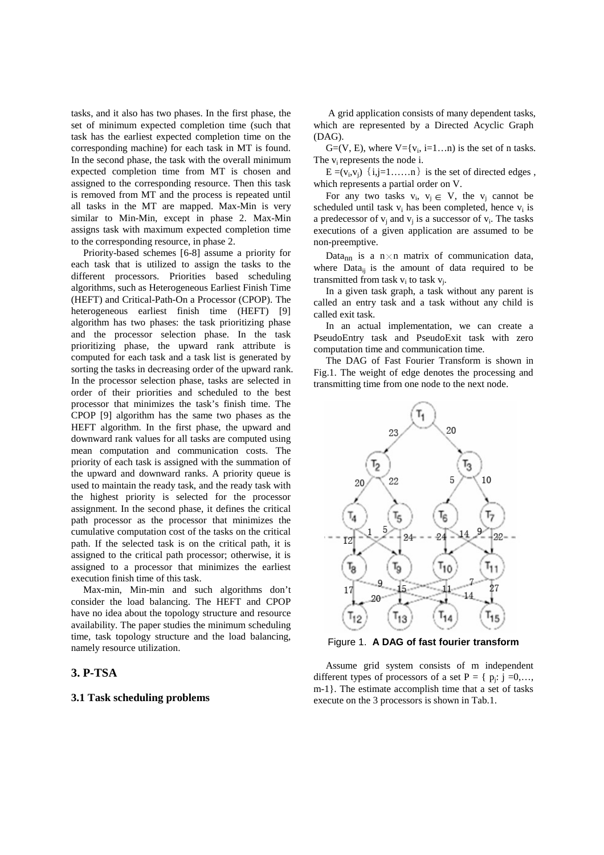tasks, and it also has two phases. In the first phase, the set of minimum expected completion time (such that task has the earliest expected completion time on the corresponding machine) for each task in MT is found. In the second phase, the task with the overall minimum expected completion time from MT is chosen and assigned to the corresponding resource. Then this task is removed from MT and the process is repeated until all tasks in the MT are mapped. Max-Min is very similar to Min-Min, except in phase 2. Max-Min assigns task with maximum expected completion time to the corresponding resource, in phase 2.

Priority-based schemes [6-8] assume a priority for each task that is utilized to assign the tasks to the different processors. Priorities based scheduling algorithms, such as Heterogeneous Earliest Finish Time (HEFT) and Critical-Path-On a Processor (CPOP). The heterogeneous earliest finish time (HEFT) [9] algorithm has two phases: the task prioritizing phase and the processor selection phase. In the task prioritizing phase, the upward rank attribute is computed for each task and a task list is generated by sorting the tasks in decreasing order of the upward rank. In the processor selection phase, tasks are selected in order of their priorities and scheduled to the best processor that minimizes the task's finish time. The CPOP [9] algorithm has the same two phases as the HEFT algorithm. In the first phase, the upward and downward rank values for all tasks are computed using mean computation and communication costs. The priority of each task is assigned with the summation of the upward and downward ranks. A priority queue is used to maintain the ready task, and the ready task with the highest priority is selected for the processor assignment. In the second phase, it defines the critical path processor as the processor that minimizes the cumulative computation cost of the tasks on the critical path. If the selected task is on the critical path, it is assigned to the critical path processor; otherwise, it is assigned to a processor that minimizes the earliest execution finish time of this task.

Max-min, Min-min and such algorithms don't consider the load balancing. The HEFT and CPOP have no idea about the topology structure and resource availability. The paper studies the minimum scheduling time, task topology structure and the load balancing, namely resource utilization.

# **3. P-TSA**

## **3.1 Task scheduling problems**

A grid application consists of many dependent tasks, which are represented by a Directed Acyclic Graph (DAG).

 $G=(V, E)$ , where  $V = \{v_i, i=1...n\}$  is the set of n tasks. The  $v_i$  represents the node i.

 $E = (v_i, v_j)$  {i,j=1......n} is the set of directed edges, which represents a partial order on V.

For any two tasks  $v_i$ ,  $v_j \in V$ , the  $v_j$  cannot be scheduled until task  $v_i$  has been completed, hence  $v_i$  is a predecessor of  $v_j$  and  $v_j$  is a successor of  $v_i$ . The tasks executions of a given application are assumed to be non-preemptive.

Data<sub>nn</sub> is a  $n \times n$  matrix of communication data, where  $Data_{ii}$  is the amount of data required to be transmitted from task  $v_i$  to task  $v_j$ .

In a given task graph, a task without any parent is called an entry task and a task without any child is called exit task.

In an actual implementation, we can create a PseudoEntry task and PseudoExit task with zero computation time and communication time.

The DAG of Fast Fourier Transform is shown in Fig.1. The weight of edge denotes the processing and transmitting time from one node to the next node.



Figure 1. **A DAG of fast fourier transform**

Assume grid system consists of m independent different types of processors of a set  $P = \{p_i : j = 0, \ldots, \}$ m-1}. The estimate accomplish time that a set of tasks execute on the 3 processors is shown in Tab.1.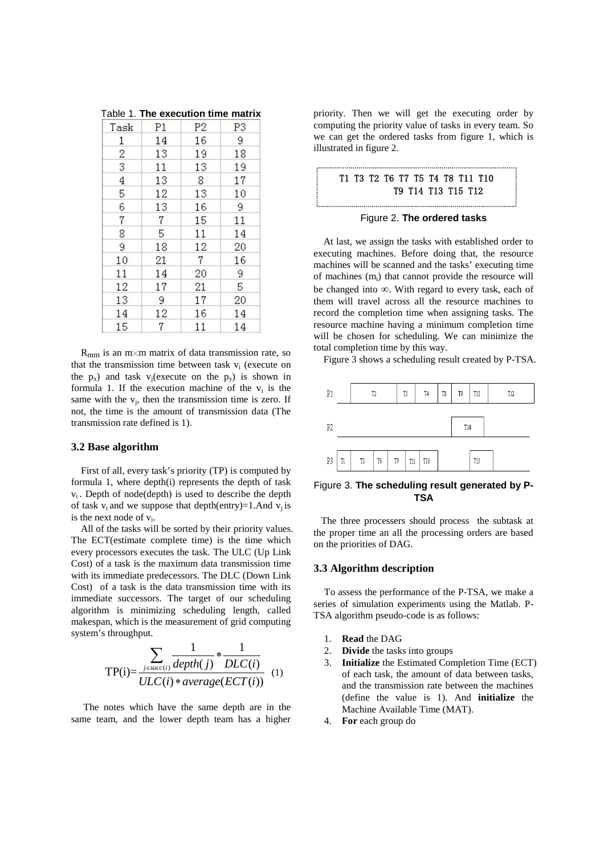| Task                    | P1 | P2 | P3 |
|-------------------------|----|----|----|
| 1                       | 14 | 16 | 9  |
| $\overline{\mathbf{c}}$ | 13 | 19 | 18 |
| 3                       | 11 | 13 | 19 |
| $\overline{4}$          | 13 | 8  | 17 |
| 5                       | 12 | 13 | 10 |
| 6                       | 13 | 16 | 9  |
| 7                       | 7  | 15 | 11 |
| 8                       | 5  | 11 | 14 |
| 9                       | 18 | 12 | 20 |
| 10                      | 21 | 7  | 16 |
| 11                      | 14 | 20 | 9  |
| 12                      | 17 | 21 | 5  |
| 13                      | 9  | 17 | 20 |
| 14                      | 12 | 16 | 14 |
| 15                      | 7  | 11 | 14 |

Table 1. **The execution time matrix**

 $R_{mm}$  is an m $\times$ m matrix of data transmission rate, so that the transmission time between task  $v_i$  (execute on the  $p_x$ ) and task v<sub>i</sub>(execute on the  $p_y$ ) is shown in formula 1. If the execution machine of the  $v_i$  is the same with the  $v_j$ , then the transmission time is zero. If not, the time is the amount of transmission data (The transmission rate defined is 1).

#### **3.2 Base algorithm**

First of all, every task's priority (TP) is computed by formula 1, where depth(i) represents the depth of task vi . Depth of node(depth) is used to describe the depth of task  $v_i$  and we suppose that depth(entry)=1.And  $v_i$  is is the next node of  $v_i$ .

All of the tasks will be sorted by their priority values. The ECT(estimate complete time) is the time which every processors executes the task. The ULC (Up Link Cost) of a task is the maximum data transmission time with its immediate predecessors. The DLC (Down Link Cost) of a task is the data transmission time with its immediate successors. The target of our scheduling algorithm is minimizing scheduling length, called makespan, which is the measurement of grid computing system's throughput.

$$
\text{TP}(i) = \frac{\sum_{j \in succ(i)} \frac{1}{depth(j)} * \frac{1}{DLC(i)}}{ULC(i) * average(ECT(i))}
$$
 (1)

The notes which have the same depth are in the same team, and the lower depth team has a higher priority. Then we will get the executing order by computing the priority value of tasks in every team. So we can get the ordered tasks from figure 1, which is illustrated in figure 2.

# T1 T3 T2 T6 T7 T5 T4 T8 T11 T10 T9 T14 T13 T15 T12

### Figure 2. **The ordered tasks**

At last, we assign the tasks with established order to executing machines. Before doing that, the resource machines will be scanned and the tasks'executing time of machines (mi) that cannot provide the resource will be changed into ∞. With regard to every task, each of them will travel across all the resource machines to record the completion time when assigning tasks. The resource machine having a minimum completion time will be chosen for scheduling. We can minimize the total completion time by this way.

Figure 3 shows a scheduling result created by P-TSA.



Figure 3. **The scheduling result generated by P-TSA**

The three processers should process the subtask at the proper time an all the processing orders are based on the priorities of DAG.

#### **3.3 Algorithm description**

To assess the performance of the P-TSA, we make a series of simulation experiments using the Matlab. P-TSA algorithm pseudo-code is as follows:

- 1. **Read** the DAG
- 2. **Divide** the tasks into groups
- 3. **Initialize** the Estimated Completion Time (ECT) of each task, the amount of data between tasks, and the transmission rate between the machines (define the value is 1). And **initialize** the Machine Available Time (MAT).
- 4. **For** each group do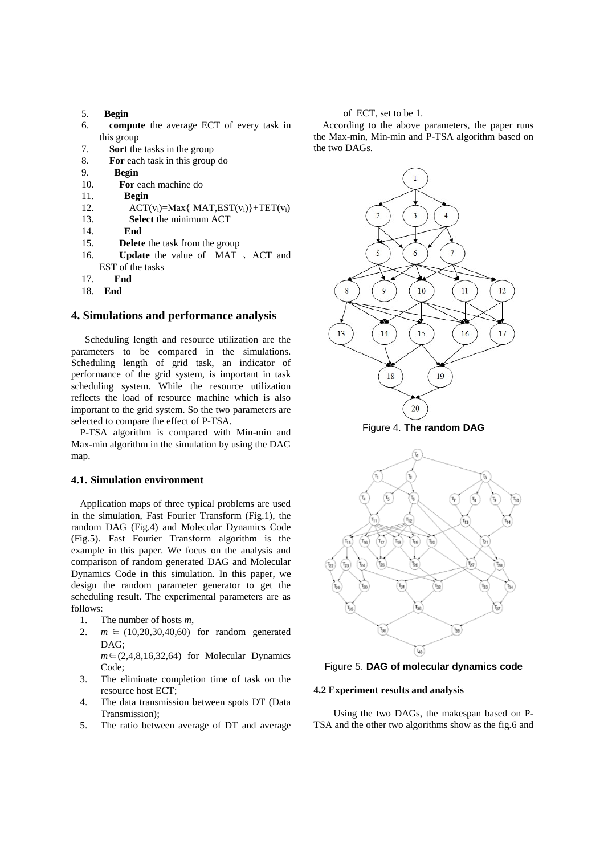| <b>Begin</b><br>5.                                    |
|-------------------------------------------------------|
| б.<br><b>compute</b> the average ECT of every task in |
| this group                                            |
| <b>Sort</b> the tasks in the group<br>7.              |
| 8.<br><b>For</b> each task in this group do           |
| 9.<br><b>Begin</b>                                    |
| 10.<br><b>For</b> each machine do                     |
| 11.<br><b>Begin</b>                                   |
| 12.<br>$ACT(v_i)=Max\{ MAT, EST(v_i)\} + TET(v_i)$    |
| <b>Select</b> the minimum ACT<br>13.                  |
| 14.<br>End                                            |
| 15.<br><b>Delete</b> the task from the group          |
| 16.<br><b>Update</b> the value of MAT, ACT and        |
| EST of the tasks                                      |
| End<br>17.                                            |

18. **End**

## **4. Simulations and performance analysis**

Scheduling length and resource utilization are the parameters to be compared in the simulations. Scheduling length of grid task, an indicator of performance of the grid system, is important in task scheduling system. While the resource utilization reflects the load of resource machine which is also important to the grid system. So the two parameters are selected to compare the effect of P-TSA.

P-TSA algorithm is compared with Min-min and Max-min algorithm in the simulation by using the DAG map.

#### **4.1. Simulation environment**

Application maps of three typical problems are used in the simulation, Fast Fourier Transform (Fig.1), the random DAG (Fig.4) and Molecular Dynamics Code (Fig.5). Fast Fourier Transform algorithm is the example in this paper. We focus on the analysis and comparison of random generated DAG and Molecular Dynamics Code in this simulation. In this paper, we design the random parameter generator to get the scheduling result. The experimental parameters are as follows:

- 1. The number of hosts *m*,
- 2.  $m \in (10, 20, 30, 40, 60)$  for random generated DAG;

*m*∈(2,4,8,16,32,64) for Molecular Dynamics Code;

- 3. The eliminate completion time of task on the resource host ECT;
- 4. The data transmission between spots DT (Data Transmission);
- 5. The ratio between average of DT and average

of ECT, set to be 1.

According to the above parameters, the paper runs the Max-min, Min-min and P-TSA algorithm based on the two DAGs.



Figure 4. **The random DAG**



Figure 5. **DAG of molecular dynamics code**

#### **4.2 Experiment results and analysis**

Using the two DAGs, the makespan based on P-TSA and the other two algorithms show as the fig.6 and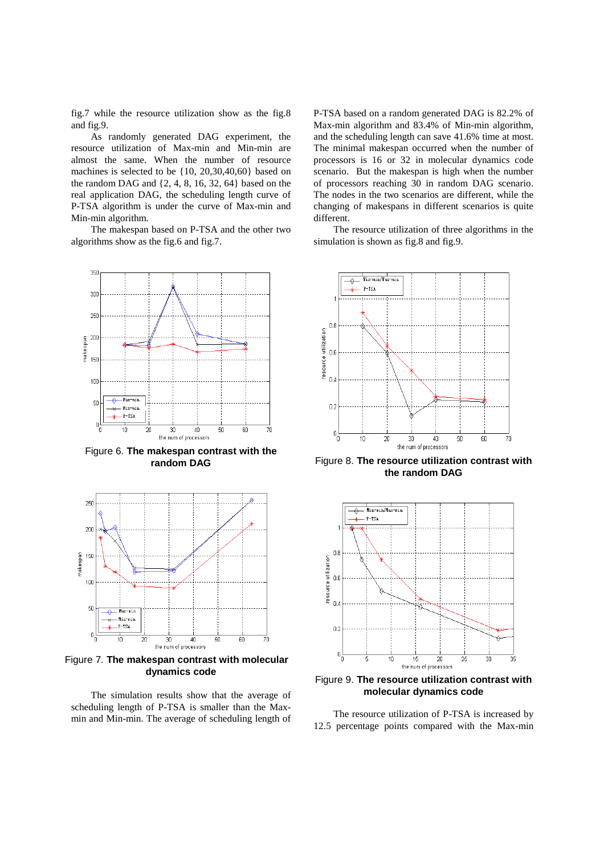fig.7 while the resource utilization show as the fig.8 and fig.9.

As randomly generated DAG experiment, the resource utilization of Max-min and Min-min are almost the same. When the number of resource machines is selected to be {10, 20,30,40,60} based on the random DAG and {2, 4, 8, 16, 32, 64} based on the real application DAG, the scheduling length curve of P-TSA algorithm is under the curve of Max-min and Min-min algorithm.

The makespan based on P-TSA and the other two algorithms show as the fig.6 and fig.7.



Figure 6. **The makespan contrast with the random DAG**



Figure 7. **The makespan contrast with molecular dynamics code**

The simulation results show that the average of scheduling length of P-TSA is smaller than the Maxmin and Min-min. The average of scheduling length of P-TSA based on a random generated DAG is 82.2% of Max-min algorithm and 83.4% of Min-min algorithm, and the scheduling length can save 41.6% time at most. The minimal makespan occurred when the number of processors is 16 or 32 in molecular dynamics code scenario. But the makespan is high when the number of processors reaching 30 in random DAG scenario. The nodes in the two scenarios are different, while the changing of makespans in different scenarios is quite different.

The resource utilization of three algorithms in the simulation is shown as fig.8 and fig.9.



Figure 8. **The resource utilization contrast with the random DAG**



Figure 9. **The resource utilization contrast with molecular dynamics code**

The resource utilization of P-TSA is increased by 12.5 percentage points compared with the Max-min